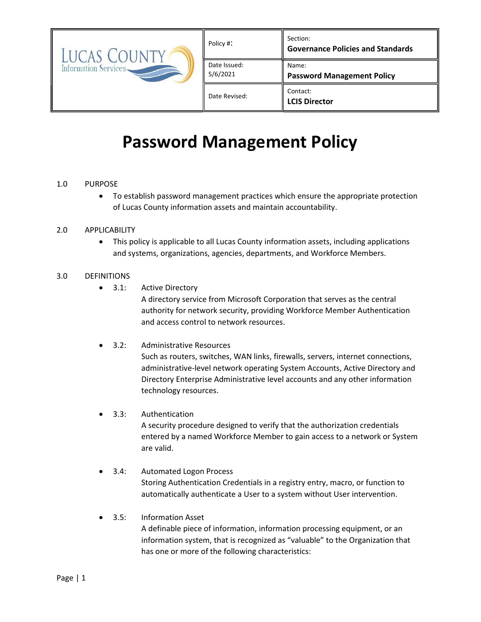| <b>LUCAS</b><br>Information Services | Policy #:                | Section:<br><b>Governance Policies and Standards</b> |
|--------------------------------------|--------------------------|------------------------------------------------------|
|                                      | Date Issued:<br>5/6/2021 | Name:<br><b>Password Management Policy</b>           |
|                                      | Date Revised:            | Contact:<br><b>LCIS Director</b>                     |

# Password Management Policy

## 1.0 PURPOSE

 To establish password management practices which ensure the appropriate protection of Lucas County information assets and maintain accountability.

#### 2.0 APPLICABILITY

 This policy is applicable to all Lucas County information assets, including applications and systems, organizations, agencies, departments, and Workforce Members.

## 3.0 DEFINITIONS

• 3.1: Active Directory

A directory service from Microsoft Corporation that serves as the central authority for network security, providing Workforce Member Authentication and access control to network resources.

- 3.2: Administrative Resources Such as routers, switches, WAN links, firewalls, servers, internet connections, administrative-level network operating System Accounts, Active Directory and Directory Enterprise Administrative level accounts and any other information technology resources.
- 3.3: Authentication A security procedure designed to verify that the authorization credentials entered by a named Workforce Member to gain access to a network or System are valid.
- 3.4: Automated Logon Process Storing Authentication Credentials in a registry entry, macro, or function to automatically authenticate a User to a system without User intervention.
- 3.5: Information Asset A definable piece of information, information processing equipment, or an information system, that is recognized as "valuable" to the Organization that has one or more of the following characteristics: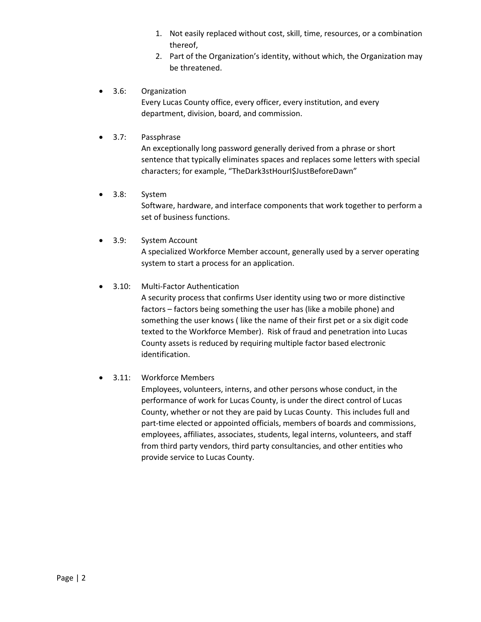- 1. Not easily replaced without cost, skill, time, resources, or a combination thereof,
- 2. Part of the Organization's identity, without which, the Organization may be threatened.
- 3.6: Organization

Every Lucas County office, every officer, every institution, and every department, division, board, and commission.

3.7: Passphrase

An exceptionally long password generally derived from a phrase or short sentence that typically eliminates spaces and replaces some letters with special characters; for example, "TheDark3stHourI\$JustBeforeDawn"

## 3.8: System

Software, hardware, and interface components that work together to perform a set of business functions.

3.9: System Account

A specialized Workforce Member account, generally used by a server operating system to start a process for an application.

# 3.10: Multi-Factor Authentication

A security process that confirms User identity using two or more distinctive factors – factors being something the user has (like a mobile phone) and something the user knows ( like the name of their first pet or a six digit code texted to the Workforce Member). Risk of fraud and penetration into Lucas County assets is reduced by requiring multiple factor based electronic identification.

# 3.11: Workforce Members

Employees, volunteers, interns, and other persons whose conduct, in the performance of work for Lucas County, is under the direct control of Lucas County, whether or not they are paid by Lucas County. This includes full and part-time elected or appointed officials, members of boards and commissions, employees, affiliates, associates, students, legal interns, volunteers, and staff from third party vendors, third party consultancies, and other entities who provide service to Lucas County.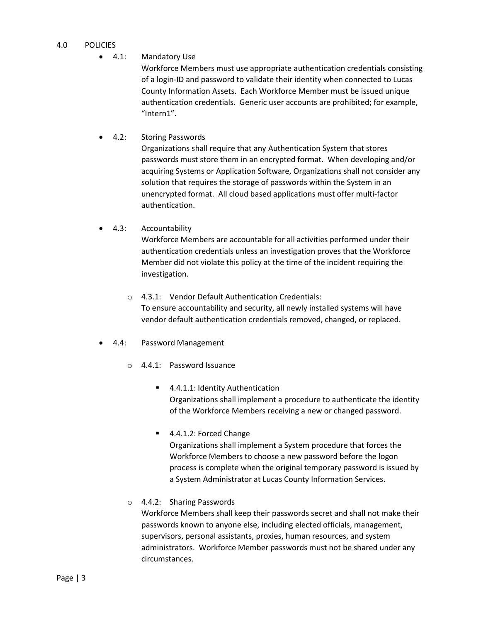#### 4.0 POLICIES

4.1: Mandatory Use

Workforce Members must use appropriate authentication credentials consisting of a login-ID and password to validate their identity when connected to Lucas County Information Assets. Each Workforce Member must be issued unique authentication credentials. Generic user accounts are prohibited; for example, "Intern1".

4.2: Storing Passwords

Organizations shall require that any Authentication System that stores passwords must store them in an encrypted format. When developing and/or acquiring Systems or Application Software, Organizations shall not consider any solution that requires the storage of passwords within the System in an unencrypted format. All cloud based applications must offer multi-factor authentication.

4.3: Accountability

Workforce Members are accountable for all activities performed under their authentication credentials unless an investigation proves that the Workforce Member did not violate this policy at the time of the incident requiring the investigation.

- o 4.3.1: Vendor Default Authentication Credentials: To ensure accountability and security, all newly installed systems will have vendor default authentication credentials removed, changed, or replaced.
- 4.4: Password Management
	- o 4.4.1: Password Issuance
		- 4.4.1.1: Identity Authentication Organizations shall implement a procedure to authenticate the identity of the Workforce Members receiving a new or changed password.
		- 4.4.1.2: Forced Change

Organizations shall implement a System procedure that forces the Workforce Members to choose a new password before the logon process is complete when the original temporary password is issued by a System Administrator at Lucas County Information Services.

o 4.4.2: Sharing Passwords

Workforce Members shall keep their passwords secret and shall not make their passwords known to anyone else, including elected officials, management, supervisors, personal assistants, proxies, human resources, and system administrators. Workforce Member passwords must not be shared under any circumstances.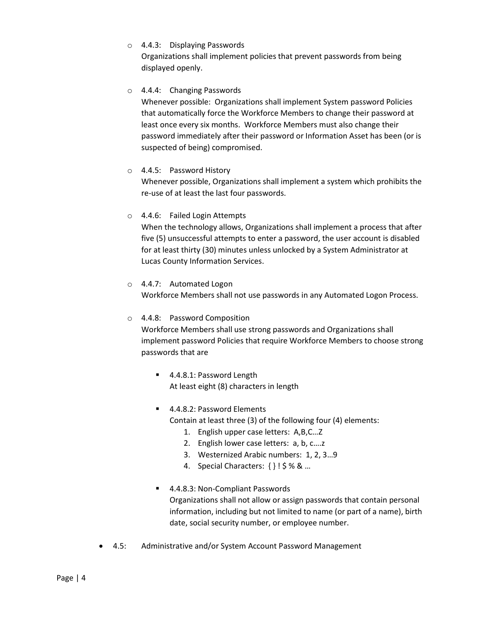o 4.4.3: Displaying Passwords

Organizations shall implement policies that prevent passwords from being displayed openly.

# o 4.4.4: Changing Passwords

Whenever possible: Organizations shall implement System password Policies that automatically force the Workforce Members to change their password at least once every six months. Workforce Members must also change their password immediately after their password or Information Asset has been (or is suspected of being) compromised.

#### o 4.4.5: Password History

Whenever possible, Organizations shall implement a system which prohibits the re-use of at least the last four passwords.

## o 4.4.6: Failed Login Attempts

When the technology allows, Organizations shall implement a process that after five (5) unsuccessful attempts to enter a password, the user account is disabled for at least thirty (30) minutes unless unlocked by a System Administrator at Lucas County Information Services.

# o 4.4.7: Automated Logon Workforce Members shall not use passwords in any Automated Logon Process.

# o 4.4.8: Password Composition

Workforce Members shall use strong passwords and Organizations shall implement password Policies that require Workforce Members to choose strong passwords that are

- 4.4.8.1: Password Length At least eight (8) characters in length
- 4.4.8.2: Password Elements Contain at least three (3) of the following four (4) elements:
	- 1. English upper case letters: A,B,C…Z
	- 2. English lower case letters: a, b, c….z
	- 3. Westernized Arabic numbers: 1, 2, 3…9
	- 4. Special Characters: { } ! \$ % & …
- 4.4.8.3: Non-Compliant Passwords Organizations shall not allow or assign passwords that contain personal information, including but not limited to name (or part of a name), birth date, social security number, or employee number.
- 4.5: Administrative and/or System Account Password Management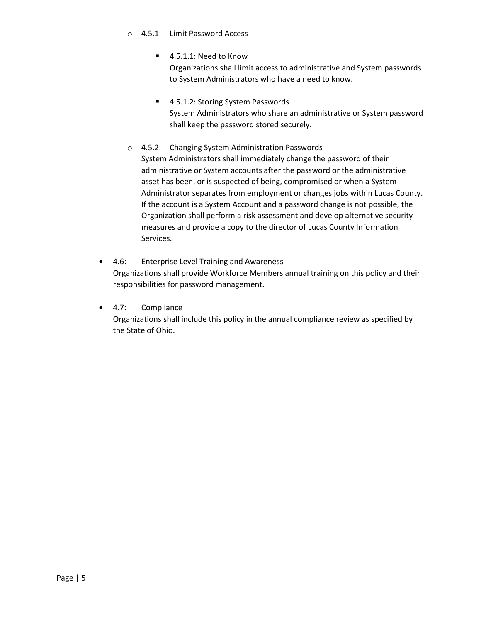#### o 4.5.1: Limit Password Access

■ 4.5.1.1: Need to Know

Organizations shall limit access to administrative and System passwords to System Administrators who have a need to know.

- 4.5.1.2: Storing System Passwords System Administrators who share an administrative or System password shall keep the password stored securely.
- o 4.5.2: Changing System Administration Passwords System Administrators shall immediately change the password of their administrative or System accounts after the password or the administrative asset has been, or is suspected of being, compromised or when a System Administrator separates from employment or changes jobs within Lucas County. If the account is a System Account and a password change is not possible, the Organization shall perform a risk assessment and develop alternative security measures and provide a copy to the director of Lucas County Information Services.
- 4.6: Enterprise Level Training and Awareness Organizations shall provide Workforce Members annual training on this policy and their responsibilities for password management.
- 4.7: Compliance Organizations shall include this policy in the annual compliance review as specified by the State of Ohio.